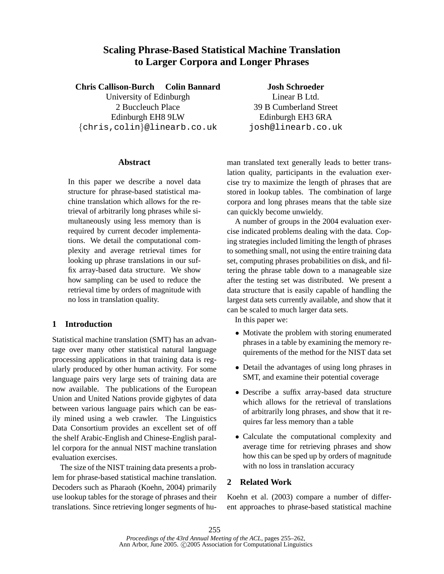# **Scaling Phrase-Based Statistical Machine Translation to Larger Corpora and Longer Phrases**

**Chris Callison-Burch Colin Bannard**

University of Edinburgh 2 Buccleuch Place Edinburgh EH8 9LW {chris,colin}@linearb.co.uk

**Josh Schroeder** Linear B Ltd. 39 B Cumberland Street Edinburgh EH3 6RA josh@linearb.co.uk

### **Abstract**

In this paper we describe a novel data structure for phrase-based statistical machine translation which allows for the retrieval of arbitrarily long phrases while simultaneously using less memory than is required by current decoder implementations. We detail the computational complexity and average retrieval times for looking up phrase translations in our suffix array-based data structure. We show how sampling can be used to reduce the retrieval time by orders of magnitude with no loss in translation quality.

## **1 Introduction**

Statistical machine translation (SMT) has an advantage over many other statistical natural language processing applications in that training data is regularly produced by other human activity. For some language pairs very large sets of training data are now available. The publications of the European Union and United Nations provide gigbytes of data between various language pairs which can be easily mined using a web crawler. The Linguistics Data Consortium provides an excellent set of off the shelf Arabic-English and Chinese-English parallel corpora for the annual NIST machine translation evaluation exercises.

The size of the NIST training data presents a problem for phrase-based statistical machine translation. Decoders such as Pharaoh (Koehn, 2004) primarily use lookup tables for the storage of phrases and their translations. Since retrieving longer segments of human translated text generally leads to better translation quality, participants in the evaluation exercise try to maximize the length of phrases that are stored in lookup tables. The combination of large corpora and long phrases means that the table size can quickly become unwieldy.

A number of groups in the 2004 evaluation exercise indicated problems dealing with the data. Coping strategies included limiting the length of phrases to something small, not using the entire training data set, computing phrases probabilities on disk, and filtering the phrase table down to a manageable size after the testing set was distributed. We present a data structure that is easily capable of handling the largest data sets currently available, and show that it can be scaled to much larger data sets.

In this paper we:

- Motivate the problem with storing enumerated phrases in a table by examining the memory requirements of the method for the NIST data set
- Detail the advantages of using long phrases in SMT, and examine their potential coverage
- Describe a suffix array-based data structure which allows for the retrieval of translations of arbitrarily long phrases, and show that it requires far less memory than a table
- Calculate the computational complexity and average time for retrieving phrases and show how this can be sped up by orders of magnitude with no loss in translation accuracy

## **2 Related Work**

Koehn et al. (2003) compare a number of different approaches to phrase-based statistical machine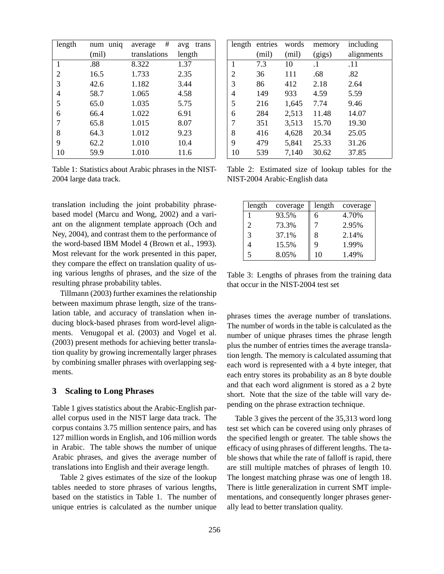| length         | uniq<br>num | #<br>average | avg<br>trans |  |
|----------------|-------------|--------------|--------------|--|
|                | (mil)       | translations | length       |  |
| 1              | .88         | 8.322        | 1.37         |  |
| $\overline{c}$ | 16.5        | 1.733        | 2.35         |  |
| 3              | 42.6        | 1.182        | 3.44         |  |
| 4              | 58.7        | 1.065        | 4.58         |  |
| 5              | 65.0        | 1.035        | 5.75         |  |
| 6              | 66.4        | 1.022        | 6.91         |  |
| 7              | 65.8        | 1.015        | 8.07         |  |
| 8              | 64.3        | 1.012        | 9.23         |  |
| 9              | 62.2        | 1.010        | 10.4         |  |
| 10             | 59.9        | 1.010        | 11.6         |  |

Table 1: Statistics about Arabic phrases in the NIST-2004 large data track.

translation including the joint probability phrasebased model (Marcu and Wong, 2002) and a variant on the alignment template approach (Och and Ney, 2004), and contrast them to the performance of the word-based IBM Model 4 (Brown et al., 1993). Most relevant for the work presented in this paper, they compare the effect on translation quality of using various lengths of phrases, and the size of the resulting phrase probability tables.

Tillmann (2003) further examines the relationship between maximum phrase length, size of the translation table, and accuracy of translation when inducing block-based phrases from word-level alignments. Venugopal et al. (2003) and Vogel et al. (2003) present methods for achieving better translation quality by growing incrementally larger phrases by combining smaller phrases with overlapping segments.

#### **3 Scaling to Long Phrases**

Table 1 gives statistics about the Arabic-English parallel corpus used in the NIST large data track. The corpus contains 3.75 million sentence pairs, and has 127 million words in English, and 106 million words in Arabic. The table shows the number of unique Arabic phrases, and gives the average number of translations into English and their average length.

Table 2 gives estimates of the size of the lookup tables needed to store phrases of various lengths, based on the statistics in Table 1. The number of unique entries is calculated as the number unique

| length | entries | words | memory    | including  |
|--------|---------|-------|-----------|------------|
|        | (mil)   | (mil) | (gigs)    | alignments |
| 1      | 7.3     | 10    | $\cdot$ 1 | .11        |
| 2      | 36      | 111   | .68       | .82        |
| 3      | 86      | 412   | 2.18      | 2.64       |
| 4      | 149     | 933   | 4.59      | 5.59       |
| 5      | 216     | 1,645 | 7.74      | 9.46       |
| 6      | 284     | 2,513 | 11.48     | 14.07      |
| 7      | 351     | 3,513 | 15.70     | 19.30      |
| 8      | 416     | 4,628 | 20.34     | 25.05      |
| 9      | 479     | 5,841 | 25.33     | 31.26      |
| 10     | 539     | 7,140 | 30.62     | 37.85      |

Table 2: Estimated size of lookup tables for the NIST-2004 Arabic-English data

| length | coverage | length | coverage |
|--------|----------|--------|----------|
| 1      | 93.5%    | 6      | 4.70%    |
| 2      | 73.3%    |        | 2.95%    |
| 3      | 37.1%    | 8      | 2.14%    |
|        | 15.5%    | 9      | 1.99%    |
| 5      | 8.05%    | 10     | 1.49%    |

Table 3: Lengths of phrases from the training data that occur in the NIST-2004 test set

phrases times the average number of translations. The number of words in the table is calculated as the number of unique phrases times the phrase length plus the number of entries times the average translation length. The memory is calculated assuming that each word is represented with a 4 byte integer, that each entry stores its probability as an 8 byte double and that each word alignment is stored as a 2 byte short. Note that the size of the table will vary depending on the phrase extraction technique.

Table 3 gives the percent of the 35,313 word long test set which can be covered using only phrases of the specified length or greater. The table shows the efficacy of using phrases of different lengths. The table shows that while the rate of falloff is rapid, there are still multiple matches of phrases of length 10. The longest matching phrase was one of length 18. There is little generalization in current SMT implementations, and consequently longer phrases generally lead to better translation quality.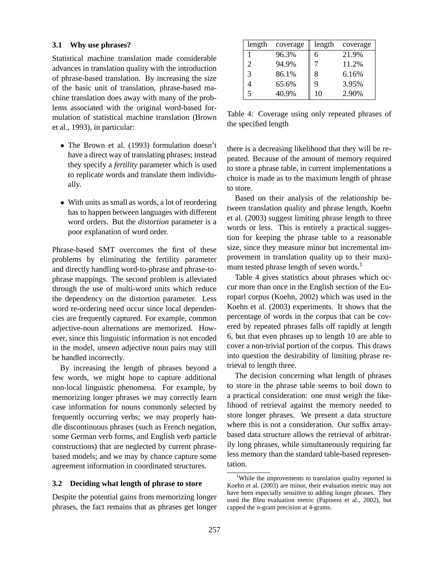#### **3.1 Why use phrases?**

Statistical machine translation made considerable advances in translation quality with the introduction of phrase-based translation. By increasing the size of the basic unit of translation, phrase-based machine translation does away with many of the problems associated with the original word-based formulation of statistical machine translation (Brown et al., 1993), in particular:

- The Brown et al. (1993) formulation doesn't have a direct way of translating phrases; instead they specify a *fertility* parameter which is used to replicate words and translate them individually.
- With units as small as words, a lot of reordering has to happen between languages with different word orders. But the *distortion* parameter is a poor explanation of word order.

Phrase-based SMT overcomes the first of these problems by eliminating the fertility parameter and directly handling word-to-phrase and phrase-tophrase mappings. The second problem is alleviated through the use of multi-word units which reduce the dependency on the distortion parameter. Less word re-ordering need occur since local dependencies are frequently captured. For example, common adjective-noun alternations are memorized. However, since this linguistic information is not encoded in the model, unseen adjective noun pairs may still be handled incorrectly.

By increasing the length of phrases beyond a few words, we might hope to capture additional non-local linguistic phenomena. For example, by memorizing longer phrases we may correctly learn case information for nouns commonly selected by frequently occurring verbs; we may properly handle discontinuous phrases (such as French negation, some German verb forms, and English verb particle constructions) that are neglected by current phrasebased models; and we may by chance capture some agreement information in coordinated structures.

#### **3.2 Deciding what length of phrase to store**

Despite the potential gains from memorizing longer phrases, the fact remains that as phrases get longer

| length | coverage | length | coverage |
|--------|----------|--------|----------|
|        | 96.3%    | 6      | 21.9%    |
| 2      | 94.9%    | 7      | 11.2%    |
| 3      | 86.1%    | 8      | 6.16%    |
| 4      | 65.6%    | 9      | 3.95%    |
| 5      | 40.9%    | 10     | 2.90%    |

Table 4: Coverage using only repeated phrases of the specified length

there is a decreasing likelihood that they will be repeated. Because of the amount of memory required to store a phrase table, in current implementations a choice is made as to the maximum length of phrase to store.

Based on their analysis of the relationship between translation quality and phrase length, Koehn et al. (2003) suggest limiting phrase length to three words or less. This is entirely a practical suggestion for keeping the phrase table to a reasonable size, since they measure minor but incremental improvement in translation quality up to their maximum tested phrase length of seven words.<sup>1</sup>

Table 4 gives statistics about phrases which occur more than once in the English section of the Europarl corpus (Koehn, 2002) which was used in the Koehn et al. (2003) experiments. It shows that the percentage of words in the corpus that can be covered by repeated phrases falls off rapidly at length 6, but that even phrases up to length 10 are able to cover a non-trivial portion of the corpus. This draws into question the desirability of limiting phrase retrieval to length three.

The decision concerning what length of phrases to store in the phrase table seems to boil down to a practical consideration: one must weigh the likelihood of retrieval against the memory needed to store longer phrases. We present a data structure where this is not a consideration. Our suffix arraybased data structure allows the retrieval of arbitrarily long phrases, while simultaneously requiring far less memory than the standard table-based representation.

<sup>&</sup>lt;sup>1</sup>While the improvements to translation quality reported in Koehn et al. (2003) are minor, their evaluation metric may not have been especially sensitive to adding longer phrases. They used the Bleu evaluation metric (Papineni et al., 2002), but capped the n-gram precision at 4-grams.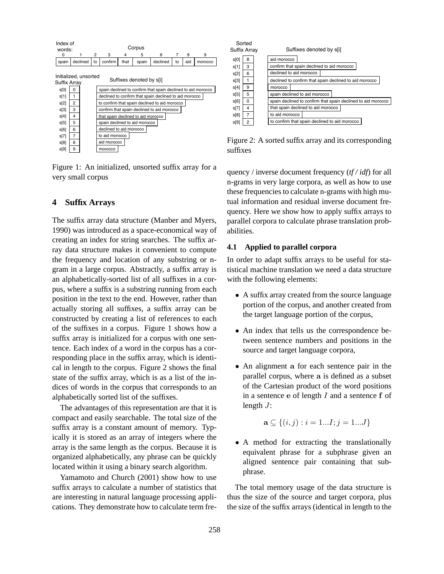| Index of<br>words: |                                                                          |          |    |                                                        |      | Corpus |                                                              |    |     |         |
|--------------------|--------------------------------------------------------------------------|----------|----|--------------------------------------------------------|------|--------|--------------------------------------------------------------|----|-----|---------|
| 0                  |                                                                          |          | 2  | 3                                                      | 4    | 5      | 6                                                            | 7  | 8   | 9       |
| spain              |                                                                          | declined | to | confirm                                                | that | spain  | declined                                                     | to | aid | morocco |
|                    | Initialized, unsorted<br>Suffixes denoted by s[i]<br><b>Suffix Arrav</b> |          |    |                                                        |      |        |                                                              |    |     |         |
| s[0]               | 0                                                                        |          |    |                                                        |      |        | spain declined to confirm that spain declined to aid morocco |    |     |         |
| s[1]               | 1                                                                        |          |    | declined to confirm that spain declined to aid morocco |      |        |                                                              |    |     |         |
| s[2]               | 2                                                                        |          |    | to confirm that spain declined to aid morocco          |      |        |                                                              |    |     |         |
| s[3]               | 3                                                                        |          |    | confirm that spain declined to aid morocco             |      |        |                                                              |    |     |         |
| s[4]               | 4                                                                        |          |    | that spain declined to aid morocco                     |      |        |                                                              |    |     |         |
| s[5]               | 5                                                                        |          |    | spain declined to aid morocco                          |      |        |                                                              |    |     |         |
| s[6]               | 6                                                                        |          |    | declined to aid morocco                                |      |        |                                                              |    |     |         |
| s[7]               | 7                                                                        |          |    | to aid morocco                                         |      |        |                                                              |    |     |         |
| s[8]               | 8                                                                        |          |    | aid morocco                                            |      |        |                                                              |    |     |         |
| s[9]               | 9                                                                        |          |    | morocco                                                |      |        |                                                              |    |     |         |

Figure 1: An initialized, unsorted suffix array for a very small corpus

#### **4 Suffix Arrays**

The suffix array data structure (Manber and Myers, 1990) was introduced as a space-economical way of creating an index for string searches. The suffix array data structure makes it convenient to compute the frequency and location of any substring or ngram in a large corpus. Abstractly, a suffix array is an alphabetically-sorted list of all suffixes in a corpus, where a suffix is a substring running from each position in the text to the end. However, rather than actually storing all suffixes, a suffix array can be constructed by creating a list of references to each of the suffixes in a corpus. Figure 1 shows how a suffix array is initialized for a corpus with one sentence. Each index of a word in the corpus has a corresponding place in the suffix array, which is identical in length to the corpus. Figure 2 shows the final state of the suffix array, which is as a list of the indices of words in the corpus that corresponds to an alphabetically sorted list of the suffixes.

The advantages of this representation are that it is compact and easily searchable. The total size of the suffix array is a constant amount of memory. Typically it is stored as an array of integers where the array is the same length as the corpus. Because it is organized alphabetically, any phrase can be quickly located within it using a binary search algorithm.

Yamamoto and Church (2001) show how to use suffix arrays to calculate a number of statistics that are interesting in natural language processing applications. They demonstrate how to calculate term fre-

| Suffix Array | Sorted | Suffixes denoted by s[i]                                     |                                               |  |  |  |  |  |
|--------------|--------|--------------------------------------------------------------|-----------------------------------------------|--|--|--|--|--|
| s[0]         | 8      | aid morocco                                                  |                                               |  |  |  |  |  |
| s[1]         | 3      | confirm that spain declined to aid morocco                   |                                               |  |  |  |  |  |
| s[2]         | 6      | declined to aid morocco                                      |                                               |  |  |  |  |  |
| s[3]         | 1      | declined to confirm that spain declined to aid morocco       |                                               |  |  |  |  |  |
| s[4]         | 9      | morocco                                                      |                                               |  |  |  |  |  |
| s[5]         | 5      | spain declined to aid morocco                                |                                               |  |  |  |  |  |
| s[6]         | 0      | spain declined to confirm that spain declined to aid morocco |                                               |  |  |  |  |  |
| s[7]         | 4      | that spain declined to aid morocco                           |                                               |  |  |  |  |  |
| s[8]         | 7      | to aid morocco                                               |                                               |  |  |  |  |  |
| s[9]         | 2      |                                                              | to confirm that spain declined to aid morocco |  |  |  |  |  |

Figure 2: A sorted suffix array and its corresponding suffixes

quency / inverse document frequency (*tf / idf*) for all n-grams in very large corpora, as well as how to use these frequencies to calculate n-grams with high mutual information and residual inverse document frequency. Here we show how to apply suffix arrays to parallel corpora to calculate phrase translation probabilities.

#### **4.1 Applied to parallel corpora**

In order to adapt suffix arrays to be useful for statistical machine translation we need a data structure with the following elements:

- A suffix array created from the source language portion of the corpus, and another created from the target language portion of the corpus,
- An index that tells us the correspondence between sentence numbers and positions in the source and target language corpora,
- An alignment a for each sentence pair in the parallel corpus, where a is defined as a subset of the Cartesian product of the word positions in a sentence  $e$  of length  $I$  and a sentence  $f$  of length  $J$ :

$$
\mathbf{a} \subseteq \{(i,j) : i = 1...I; j = 1...J\}
$$

• A method for extracting the translationally equivalent phrase for a subphrase given an aligned sentence pair containing that subphrase.

The total memory usage of the data structure is thus the size of the source and target corpora, plus the size of the suffix arrays (identical in length to the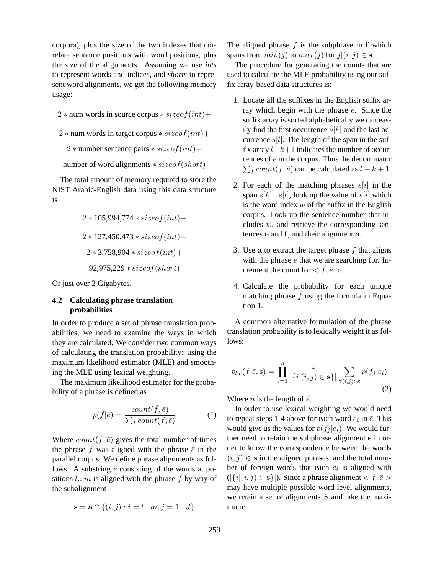corpora), plus the size of the two indexes that correlate sentence positions with word positions, plus the size of the alignments. Assuming we use *ints* to represent words and indices, and *shorts* to represent word alignments, we get the following memory usage:

- $2 * num$  words in source corpus  $*$  size of  $(int)$  +
- $2 * num$  words in target corpus  $*$  size of  $(int)$  +
	- 2 \* number sentence pairs \* size of  $(int)$  +
- number of word alignments  $*$  size of (short)

The total amount of memory required to store the NIST Arabic-English data using this data structure is

$$
2*105,994,774*size of (int)+2*127,450,473*size of (int)+2*3,758,904*size of (int)+92,975,229*size of (short)
$$

Or just over 2 Gigabytes.

### **4.2 Calculating phrase translation probabilities**

In order to produce a set of phrase translation probabilities, we need to examine the ways in which they are calculated. We consider two common ways of calculating the translation probability: using the maximum likelihood estimator (MLE) and smoothing the MLE using lexical weighting.

The maximum likelihood estimator for the probability of a phrase is defined as

$$
p(\bar{f}|\bar{e}) = \frac{count(\bar{f}, \bar{e})}{\sum_{\bar{f}} count(\bar{f}, \bar{e})}
$$
(1)

Where  $count(\bar{f}, \bar{e})$  gives the total number of times the phrase  $\bar{f}$  was aligned with the phrase  $\bar{e}$  in the parallel corpus. We define phrase alignments as follows. A substring  $\bar{e}$  consisting of the words at positions l...m is aligned with the phrase  $\bar{f}$  by way of the subalignment

$$
\mathbf{s} = \mathbf{a} \cap \{(i, j) : i = l...m, j = 1...J\}
$$

The aligned phrase  $\bar{f}$  is the subphrase in f which spans from  $min(j)$  to  $max(j)$  for  $j|(i, j) \in$  s.

The procedure for generating the counts that are used to calculate the MLE probability using our suffix array-based data structures is:

- 1. Locate all the suffixes in the English suffix array which begin with the phrase  $\bar{e}$ . Since the suffix array is sorted alphabetically we can easily find the first occurrence  $s[k]$  and the last occurrence  $s[l]$ . The length of the span in the suffix array  $l-k+1$  indicates the number of occurrences of  $\bar{e}$  in the corpus. Thus the denominator  $\sum_{\bar{f}} count(\bar{f}, \bar{e})$  can be calculated as  $l - k + 1$ .
- 2. For each of the matching phrases  $s[i]$  in the span  $s[k]...s[l]$ , look up the value of  $s[i]$  which is the word index  $w$  of the suffix in the English corpus. Look up the sentence number that includes  $w$ , and retrieve the corresponding sentences e and f, and their alignment a.
- 3. Use a to extract the target phrase  $\bar{f}$  that aligns with the phrase  $\bar{e}$  that we are searching for. Increment the count for  $\langle \bar{f}, \bar{e} \rangle$ .
- 4. Calculate the probability for each unique matching phrase  $\bar{f}$  using the formula in Equation 1.

A common alternative formulation of the phrase translation probability is to lexically weight it as follows:

$$
p_{lw}(\bar{f}|\bar{e}, \mathbf{s}) = \prod_{i=1}^{n} \frac{1}{|\{i|(i,j) \in \mathbf{s}\}|} \sum_{\forall (i,j) \in \mathbf{s}} p(f_j|e_i)
$$
\n(2)

Where *n* is the length of  $\bar{e}$ .

In order to use lexical weighting we would need to repeat steps 1-4 above for each word  $e_i$  in  $\bar{e}$ . This would give us the values for  $p(f_j | e_i)$ . We would further need to retain the subphrase alignment s in order to know the correspondence between the words  $(i, j) \in$  s in the aligned phrases, and the total number of foreign words that each  $e_i$  is aligned with  $(|\{i|(i,j) \in \mathbf{s}\}|)$ . Since a phrase alignment  $\langle \bar{f}, \bar{e} \rangle$ may have multiple possible word-level alignments, we retain a set of alignments  $S$  and take the maximum: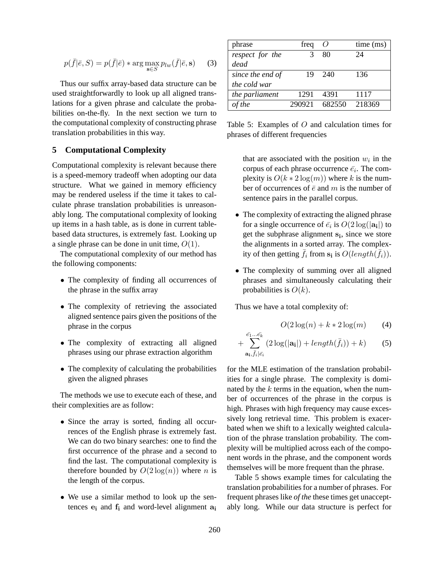$$
p(\bar{f}|\bar{e}, S) = p(\bar{f}|\bar{e}) * \arg\max_{\mathbf{s} \in S} p_{lw}(\bar{f}|\bar{e}, \mathbf{s}) \tag{3}
$$

Thus our suffix array-based data structure can be used straightforwardly to look up all aligned translations for a given phrase and calculate the probabilities on-the-fly. In the next section we turn to the computational complexity of constructing phrase translation probabilities in this way.

#### **5 Computational Complexity**

Computational complexity is relevant because there is a speed-memory tradeoff when adopting our data structure. What we gained in memory efficiency may be rendered useless if the time it takes to calculate phrase translation probabilities is unreasonably long. The computational complexity of looking up items in a hash table, as is done in current tablebased data structures, is extremely fast. Looking up a single phrase can be done in unit time,  $O(1)$ .

The computational complexity of our method has the following components:

- The complexity of finding all occurrences of the phrase in the suffix array
- The complexity of retrieving the associated aligned sentence pairs given the positions of the phrase in the corpus
- The complexity of extracting all aligned phrases using our phrase extraction algorithm
- The complexity of calculating the probabilities given the aligned phrases

The methods we use to execute each of these, and their complexities are as follow:

- Since the array is sorted, finding all occurrences of the English phrase is extremely fast. We can do two binary searches: one to find the first occurrence of the phrase and a second to find the last. The computational complexity is therefore bounded by  $O(2 \log(n))$  where *n* is the length of the corpus.
- We use a similar method to look up the sentences  $e_i$  and  $f_i$  and word-level alignment  $a_i$

| phrase           | freq   | $\theta$ | time (ms) |
|------------------|--------|----------|-----------|
| respect for the  | 3      | 80       | 24        |
| dead             |        |          |           |
| since the end of | 19     | 240      | 136       |
| the cold war     |        |          |           |
| the parliament   | 1291   | 4391     | 1117      |
| of the           | 290921 | 682550   | 218369    |

Table 5: Examples of O and calculation times for phrases of different frequencies

that are associated with the position  $w_i$  in the corpus of each phrase occurrence  $\bar{e}_i$ . The complexity is  $O(k * 2 \log(m))$  where k is the number of occurrences of  $\bar{e}$  and m is the number of sentence pairs in the parallel corpus.

- The complexity of extracting the aligned phrase for a single occurrence of  $\bar{e_i}$  is  $O(2\log(|\mathbf{a_i}|)$  to get the subphrase alignment s<sub>i</sub>, since we store the alignments in a sorted array. The complexity of then getting  $\bar{f}_i$  from  $s_i$  is  $O(length(\bar{f}_i)).$
- The complexity of summing over all aligned phrases and simultaneously calculating their probabilities is  $O(k)$ .

Thus we have a total complexity of:

$$
O(2\log(n) + k \cdot 2\log(m)) \qquad (4)
$$

$$
+\sum_{\mathbf{a_i},\bar{f}_i|\bar{e}_i}^{\bar{e_1}\dots\bar{e_k}}(2\log(|\mathbf{a_i}|)+length(\bar{f}_i))+k)
$$
 (5)

for the MLE estimation of the translation probabilities for a single phrase. The complexity is dominated by the  $k$  terms in the equation, when the number of occurrences of the phrase in the corpus is high. Phrases with high frequency may cause excessively long retrieval time. This problem is exacerbated when we shift to a lexically weighted calculation of the phrase translation probability. The complexity will be multiplied across each of the component words in the phrase, and the component words themselves will be more frequent than the phrase.

Table 5 shows example times for calculating the translation probabilities for a number of phrases. For frequent phrases like *of the* these times get unacceptably long. While our data structure is perfect for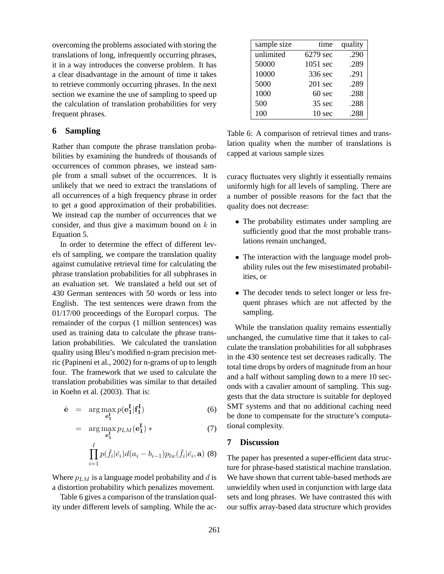overcoming the problems associated with storing the translations of long, infrequently occurring phrases, it in a way introduces the converse problem. It has a clear disadvantage in the amount of time it takes to retrieve commonly occurring phrases. In the next section we examine the use of sampling to speed up the calculation of translation probabilities for very frequent phrases.

### **6 Sampling**

Rather than compute the phrase translation probabilities by examining the hundreds of thousands of occurrences of common phrases, we instead sample from a small subset of the occurrences. It is unlikely that we need to extract the translations of all occurrences of a high frequency phrase in order to get a good approximation of their probabilities. We instead cap the number of occurrences that we consider, and thus give a maximum bound on  $k$  in Equation 5.

In order to determine the effect of different levels of sampling, we compare the translation quality against cumulative retrieval time for calculating the phrase translation probabilities for all subphrases in an evaluation set. We translated a held out set of 430 German sentences with 50 words or less into English. The test sentences were drawn from the 01/17/00 proceedings of the Europarl corpus. The remainder of the corpus (1 million sentences) was used as training data to calculate the phrase translation probabilities. We calculated the translation quality using Bleu's modified n-gram precision metric (Papineni et al., 2002) for n-grams of up to length four. The framework that we used to calculate the translation probabilities was similar to that detailed in Koehn et al. (2003). That is:

$$
\hat{\mathbf{e}} = \arg \max_{\mathbf{e}_1^{\mathbf{I}}} p(\mathbf{e}_1^{\mathbf{I}} | \mathbf{f}_1^{\mathbf{I}})
$$
 (6)

$$
= \arg \max_{\mathbf{e}_1^{\mathbf{I}}} p_{LM}(\mathbf{e}_1^{\mathbf{I}}) * \tag{7}
$$

$$
\prod_{i=1}^I p(\bar{f}_i|\bar{e}_i)d(a_i-b_{i-1})p_{lw}(\bar{f}_i|\bar{e}_i,\mathbf{a})
$$
 (8)

Where  $p_{LM}$  is a language model probability and d is a distortion probability which penalizes movement.

Table 6 gives a comparison of the translation quality under different levels of sampling. While the ac-

| sample size | time               | quality |
|-------------|--------------------|---------|
| unlimited   | 6279 sec           | .290    |
| 50000       | $1051 \text{ sec}$ | .289    |
| 10000       | 336 sec            | .291    |
| 5000        | $201$ sec          | .289    |
| 1000        | $60 \text{ sec}$   | .288    |
| 500         | 35 sec             | .288    |
| 100         | 10 <sub>sec</sub>  | .288    |

Table 6: A comparison of retrieval times and translation quality when the number of translations is capped at various sample sizes

curacy fluctuates very slightly it essentially remains uniformly high for all levels of sampling. There are a number of possible reasons for the fact that the quality does not decrease:

- The probability estimates under sampling are sufficiently good that the most probable translations remain unchanged,
- The interaction with the language model probability rules out the few misestimated probabilities, or
- The decoder tends to select longer or less frequent phrases which are not affected by the sampling.

While the translation quality remains essentially unchanged, the cumulative time that it takes to calculate the translation probabilities for all subphrases in the 430 sentence test set decreases radically. The total time drops by orders of magnitude from an hour and a half without sampling down to a mere 10 seconds with a cavalier amount of sampling. This suggests that the data structure is suitable for deployed SMT systems and that no additional caching need be done to compensate for the structure's computational complexity.

#### **7 Discussion**

The paper has presented a super-efficient data structure for phrase-based statistical machine translation. We have shown that current table-based methods are unwieldily when used in conjunction with large data sets and long phrases. We have contrasted this with our suffix array-based data structure which provides